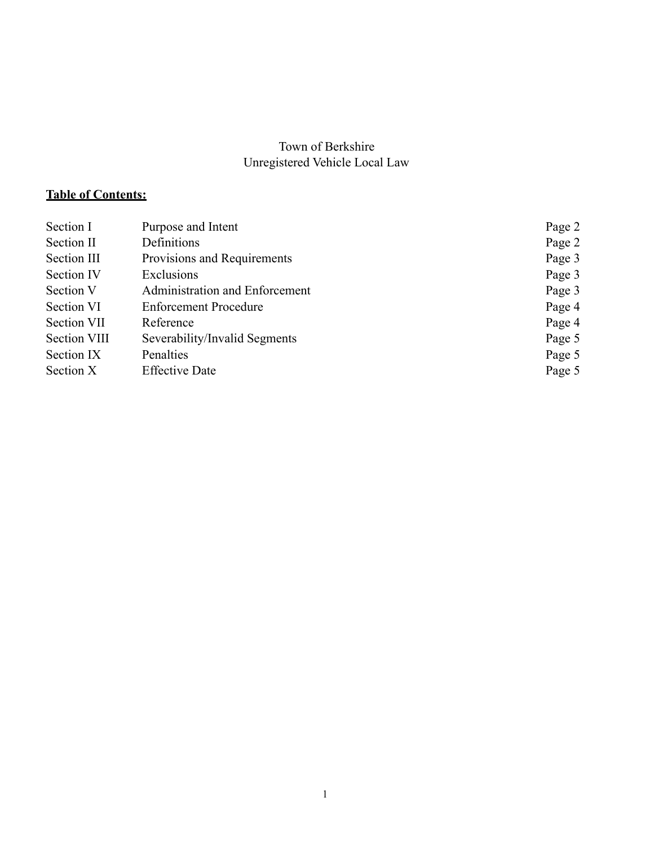#### Town of Berkshire Unregistered Vehicle Local Law

# **Table of Contents:**

| Section I    | Purpose and Intent             | Page 2 |
|--------------|--------------------------------|--------|
| Section II   | Definitions                    | Page 2 |
| Section III  | Provisions and Requirements    | Page 3 |
| Section IV   | Exclusions                     | Page 3 |
| Section V    | Administration and Enforcement | Page 3 |
| Section VI   | <b>Enforcement Procedure</b>   | Page 4 |
| Section VII  | Reference                      | Page 4 |
| Section VIII | Severability/Invalid Segments  | Page 5 |
| Section IX   | Penalties                      | Page 5 |
| Section X    | <b>Effective Date</b>          | Page 5 |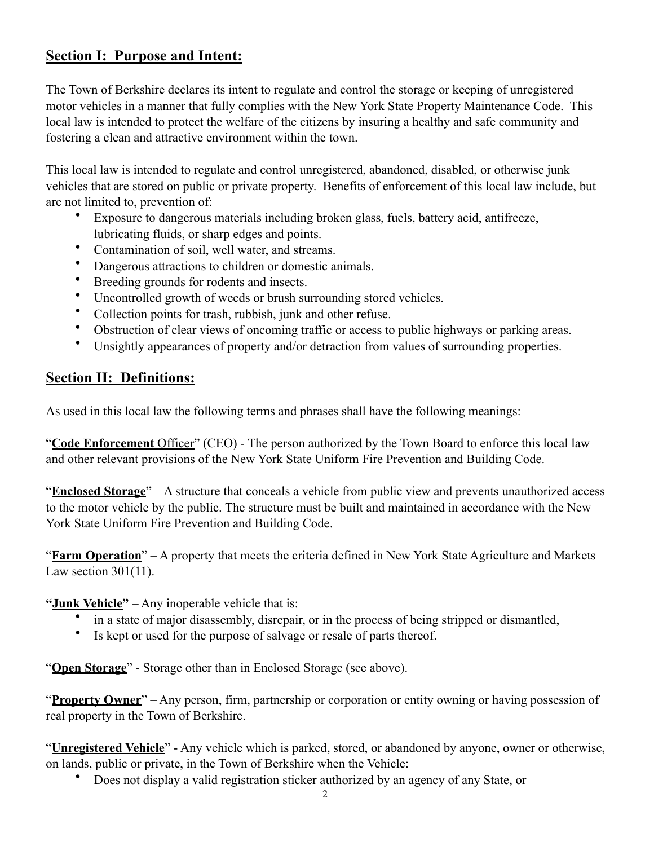## **Section I: Purpose and Intent:**

The Town of Berkshire declares its intent to regulate and control the storage or keeping of unregistered motor vehicles in a manner that fully complies with the New York State Property Maintenance Code. This local law is intended to protect the welfare of the citizens by insuring a healthy and safe community and fostering a clean and attractive environment within the town.

This local law is intended to regulate and control unregistered, abandoned, disabled, or otherwise junk vehicles that are stored on public or private property. Benefits of enforcement of this local law include, but are not limited to, prevention of:

- Exposure to dangerous materials including broken glass, fuels, battery acid, antifreeze, lubricating fluids, or sharp edges and points.
- Contamination of soil, well water, and streams.
- Dangerous attractions to children or domestic animals.
- Breeding grounds for rodents and insects.
- Uncontrolled growth of weeds or brush surrounding stored vehicles.
- Collection points for trash, rubbish, junk and other refuse.
- Obstruction of clear views of oncoming traffic or access to public highways or parking areas.
- Unsightly appearances of property and/or detraction from values of surrounding properties.

## **Section II: Definitions:**

As used in this local law the following terms and phrases shall have the following meanings:

"**Code Enforcement** Officer" (CEO) - The person authorized by the Town Board to enforce this local law and other relevant provisions of the New York State Uniform Fire Prevention and Building Code.

"**Enclosed Storage**" – A structure that conceals a vehicle from public view and prevents unauthorized access to the motor vehicle by the public. The structure must be built and maintained in accordance with the New York State Uniform Fire Prevention and Building Code.

"**Farm Operation**" – A property that meets the criteria defined in New York State Agriculture and Markets Law section 301(11).

**"Junk Vehicle"** – Any inoperable vehicle that is:

- in a state of major disassembly, disrepair, or in the process of being stripped or dismantled,
- Is kept or used for the purpose of salvage or resale of parts thereof.

"**Open Storage**" - Storage other than in Enclosed Storage (see above).

"**Property Owner**" – Any person, firm, partnership or corporation or entity owning or having possession of real property in the Town of Berkshire.

"**Unregistered Vehicle**" - Any vehicle which is parked, stored, or abandoned by anyone, owner or otherwise, on lands, public or private, in the Town of Berkshire when the Vehicle:

• Does not display a valid registration sticker authorized by an agency of any State, or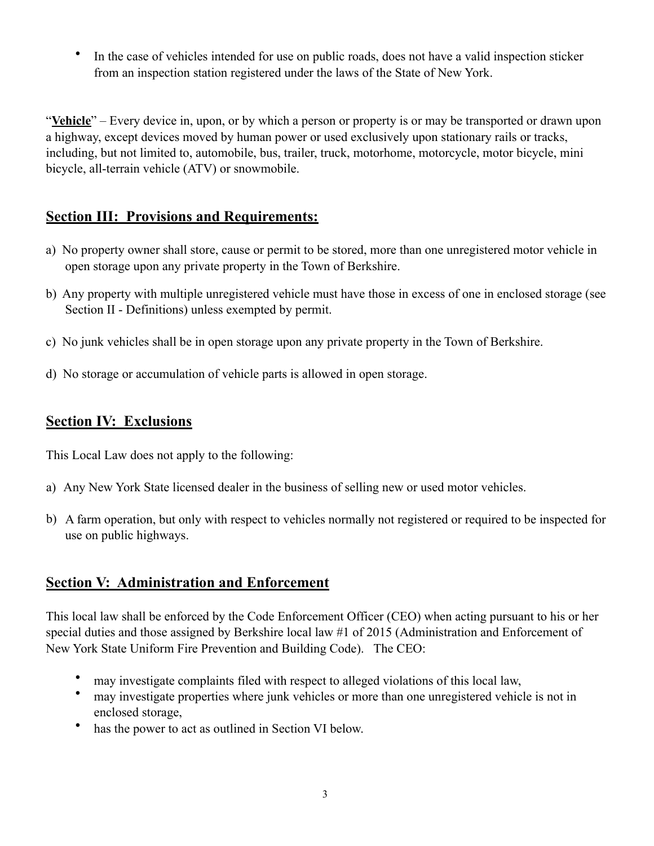In the case of vehicles intended for use on public roads, does not have a valid inspection sticker from an inspection station registered under the laws of the State of New York.

"**Vehicle**" – Every device in, upon, or by which a person or property is or may be transported or drawn upon a highway, except devices moved by human power or used exclusively upon stationary rails or tracks, including, but not limited to, automobile, bus, trailer, truck, motorhome, motorcycle, motor bicycle, mini bicycle, all-terrain vehicle (ATV) or snowmobile.

## **Section III: Provisions and Requirements:**

- a) No property owner shall store, cause or permit to be stored, more than one unregistered motor vehicle in open storage upon any private property in the Town of Berkshire.
- b) Any property with multiple unregistered vehicle must have those in excess of one in enclosed storage (see Section II - Definitions) unless exempted by permit.
- c) No junk vehicles shall be in open storage upon any private property in the Town of Berkshire.
- d) No storage or accumulation of vehicle parts is allowed in open storage.

#### **Section IV: Exclusions**

This Local Law does not apply to the following:

- a) Any New York State licensed dealer in the business of selling new or used motor vehicles.
- b) A farm operation, but only with respect to vehicles normally not registered or required to be inspected for use on public highways.

#### **Section V: Administration and Enforcement**

This local law shall be enforced by the Code Enforcement Officer (CEO) when acting pursuant to his or her special duties and those assigned by Berkshire local law #1 of 2015 (Administration and Enforcement of New York State Uniform Fire Prevention and Building Code). The CEO:

- may investigate complaints filed with respect to alleged violations of this local law,
- may investigate properties where junk vehicles or more than one unregistered vehicle is not in enclosed storage,
- has the power to act as outlined in Section VI below.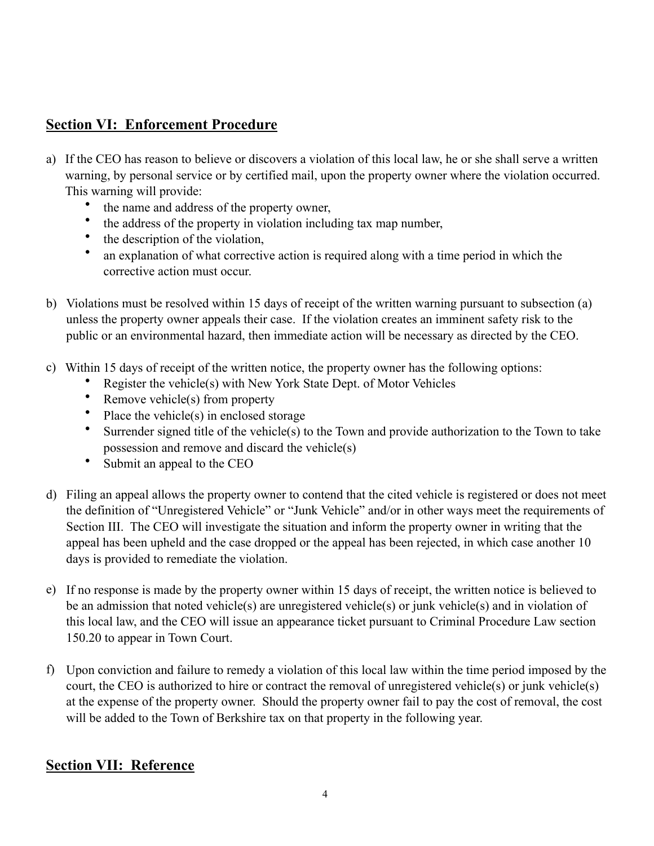## **Section VI: Enforcement Procedure**

- a) If the CEO has reason to believe or discovers a violation of this local law, he or she shall serve a written warning, by personal service or by certified mail, upon the property owner where the violation occurred. This warning will provide:
	- the name and address of the property owner,
	- the address of the property in violation including tax map number,
	- the description of the violation,
	- an explanation of what corrective action is required along with a time period in which the corrective action must occur.
- b) Violations must be resolved within 15 days of receipt of the written warning pursuant to subsection (a) unless the property owner appeals their case. If the violation creates an imminent safety risk to the public or an environmental hazard, then immediate action will be necessary as directed by the CEO.
- c) Within 15 days of receipt of the written notice, the property owner has the following options:
	- Register the vehicle(s) with New York State Dept. of Motor Vehicles
	- Remove vehicle(s) from property
	- Place the vehicle(s) in enclosed storage
	- Surrender signed title of the vehicle(s) to the Town and provide authorization to the Town to take possession and remove and discard the vehicle(s)
	- Submit an appeal to the CEO
- d) Filing an appeal allows the property owner to contend that the cited vehicle is registered or does not meet the definition of "Unregistered Vehicle" or "Junk Vehicle" and/or in other ways meet the requirements of Section III. The CEO will investigate the situation and inform the property owner in writing that the appeal has been upheld and the case dropped or the appeal has been rejected, in which case another 10 days is provided to remediate the violation.
- e) If no response is made by the property owner within 15 days of receipt, the written notice is believed to be an admission that noted vehicle(s) are unregistered vehicle(s) or junk vehicle(s) and in violation of this local law, and the CEO will issue an appearance ticket pursuant to Criminal Procedure Law section 150.20 to appear in Town Court.
- f) Upon conviction and failure to remedy a violation of this local law within the time period imposed by the court, the CEO is authorized to hire or contract the removal of unregistered vehicle(s) or junk vehicle(s) at the expense of the property owner. Should the property owner fail to pay the cost of removal, the cost will be added to the Town of Berkshire tax on that property in the following year.

## **Section VII: Reference**